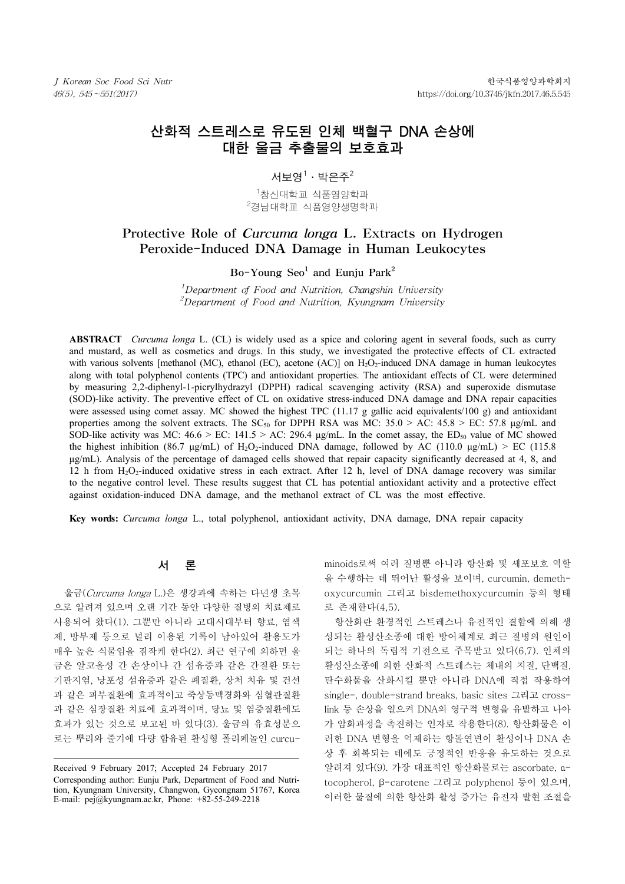# 산화적 스트레스로 유도된 인체 백혈구 DNA 손상에 대한 울금 추출물의 보호효과

## 서보영 $^1\cdot$  박은주 $^2$

\_ <sup>1</sup>창신대학교 식품영양학과<br><sup>2</sup>견난대한교 신풍영양생명함』  $2$ 경남대학교 식품영양생명학과

## Protective Role of Curcuma longa L. Extracts on Hydrogen Peroxide-Induced DNA Damage in Human Leukocytes

## Bo-Young  $\text{Seo}^1$  and Euniu Park<sup>2</sup>

 $^1$ Department of Food and Nutrition, Changshin University  $^2$ Department of Food and Nutrition, Kyungnam University

**ABSTRACT** *Curcuma longa* L. (CL) is widely used as a spice and coloring agent in several foods, such as curry and mustard, as well as cosmetics and drugs. In this study, we investigated the protective effects of CL extracted with various solvents [methanol (MC), ethanol (EC), acetone  $(AC)$ ] on  $H_2O_2$ -induced DNA damage in human leukocytes along with total polyphenol contents (TPC) and antioxidant properties. The antioxidant effects of CL were determined by measuring 2,2-diphenyl-1-picrylhydrazyl (DPPH) radical scavenging activity (RSA) and superoxide dismutase (SOD)-like activity. The preventive effect of CL on oxidative stress-induced DNA damage and DNA repair capacities were assessed using comet assay. MC showed the highest TPC (11.17 g gallic acid equivalents/100 g) and antioxidant properties among the solvent extracts. The SC<sub>50</sub> for DPPH RSA was MC:  $35.0 > AC$ :  $45.8 > EC$ : 57.8 µg/mL and SOD-like activity was MC:  $46.6 >$  EC:  $141.5 >$  AC:  $296.4 \mu g/mL$ . In the comet assay, the ED<sub>50</sub> value of MC showed the highest inhibition (86.7 μg/mL) of H<sub>2</sub>O<sub>2</sub>-induced DNA damage, followed by AC (110.0 μg/mL) > EC (115.8 μg/mL). Analysis of the percentage of damaged cells showed that repair capacity significantly decreased at 4, 8, and 12 h from H2O2-induced oxidative stress in each extract. After 12 h, level of DNA damage recovery was similar to the negative control level. These results suggest that CL has potential antioxidant activity and a protective effect against oxidation-induced DNA damage, and the methanol extract of CL was the most effective.

**Key words:** *Curcuma longa* L., total polyphenol, antioxidant activity, DNA damage, DNA repair capacity

### 서 론

울금(Curcuma longa L.)은 생강과에 속하는 다년생 초목 으로 알려져 있으며 오랜 기간 동안 다양한 질병의 치료제로 사용되어 왔다(1). 그뿐만 아니라 고대시대부터 향료, 염색 제, 방부제 등으로 널리 이용된 기록이 남아있어 활용도가 매우 높은 식물임을 짐작케 한다(2). 최근 연구에 의하면 울 금은 알코올성 간 손상이나 간 섬유증과 같은 간질환 또는 기관지염, 낭포성 섬유증과 같은 폐질환, 상처 치유 및 건선 과 같은 피부질환에 효과적이고 죽상동맥경화와 심혈관질환 과 같은 심장질환 치료에 효과적이며, 당뇨 및 염증질환에도 효과가 있는 것으로 보고된 바 있다(3). 울금의 유효성분으 로는 뿌리와 줄기에 다량 함유된 활성형 폴리페놀인 curcuminoids로써 여러 질병뿐 아니라 항산화 및 세포보호 역할 을 수행하는 데 뛰어난 활성을 보이며, curcumin, demethoxycurcumin 그리고 bisdemethoxycurcumin 등의 형태 로 존재한다(4,5).

항산화란 환경적인 스트레스나 유전적인 결함에 의해 생 성되는 활성산소종에 대한 방어체계로 최근 질병의 원인이 되는 하나의 독립적 기전으로 주목받고 있다(6,7). 인체의 활성산소종에 의한 산화적 스트레스는 체내의 지질, 단백질, 탄수화물을 산화시킬 뿐만 아니라 DNA에 직접 작용하여 single-, double-strand breaks, basic sites 그리고 crosslink 등 손상을 일으켜 DNA의 영구적 변형을 유발하고 나아 가 암화과정을 촉진하는 인자로 작용한다(8). 항산화물은 이 러한 DNA 변형을 억제하는 항돌연변이 활성이나 DNA 손 상 후 회복되는 데에도 긍정적인 반응을 유도하는 것으로 알려져 있다(9). 가장 대표적인 항산화물로는 ascorbate, αtocopherol, β-carotene 그리고 polyphenol 등이 있으며, 이러한 물질에 의한 항산화 활성 증가는 유전자 발현 조절을

Received 9 February 2017; Accepted 24 February 2017 Corresponding author: Eunju Park, Department of Food and Nutrition, Kyungnam University, Changwon, Gyeongnam 51767, Korea E-mail: pej@kyungnam.ac.kr, Phone: +82-55-249-2218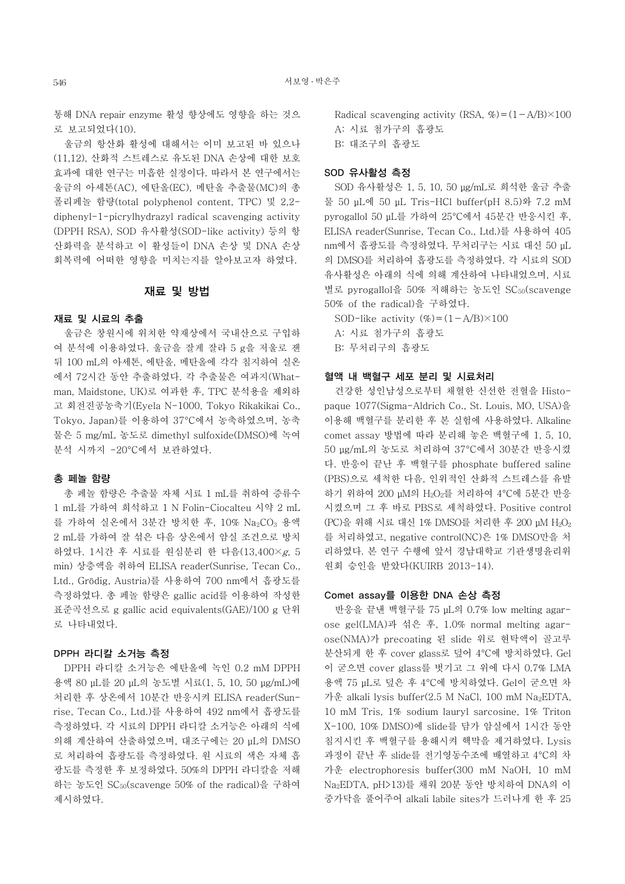통해 DNA repair enzyme 활성 향상에도 영향을 하는 것으 로 보고되었다(10).

울금의 항산화 활성에 대해서는 이미 보고된 바 있으나 (11,12), 산화적 스트레스로 유도된 DNA 손상에 대한 보호 효과에 대한 연구는 미흡한 실정이다. 따라서 본 연구에서는 울금의 아세톤(AC), 에탄올(EC), 메탄올 추출물(MC)의 총 폴리페놀 함량(total polyphenol content, TPC) 및 2,2 diphenyl-1-picrylhydrazyl radical scavenging activity (DPPH RSA), SOD 유사활성(SOD-like activity) 등의 항 산화력을 분석하고 이 활성들이 DNA 손상 및 DNA 손상 회복력에 어떠한 영향을 미치는지를 알아보고자 하였다.

#### 재료 및 방법

## 재료 및 시료의 추출

울금은 창원시에 위치한 약재상에서 국내산으로 구입하 여 분석에 이용하였다. 울금을 잘게 잘라 5 g을 저울로 잰 뒤 100 mL의 아세톤, 에탄올, 메탄올에 각각 침지하여 실온 에서 72시간 동안 추출하였다. 각 추출물은 여과지(Whatman, Maidstone, UK)로 여과한 후, TPC 분석용을 제외하 고 회전진공농축기(Eyela N-1000, Tokyo Rikakikai Co., Tokyo, Japan)를 이용하여 37°C에서 농축하였으며, 농축 물은 5 mg/mL 농도로 dimethyl sulfoxide(DMSO)에 녹여 분석 시까지 -20°C에서 보관하였다.

### 총 페놀 함량

총 페놀 함량은 추출물 자체 시료 1 mL를 취하여 증류수 1 mL를 가하여 희석하고 1 N Folin-Ciocalteu 시약 2 mL 를 가하여 실온에서 3분간 방치한 후, 10% Na<sub>2</sub>CO<sub>3</sub> 용액 2 mL를 가하여 잘 섞은 다음 상온에서 암실 조건으로 방치 하였다. 1시간 후 시료를 원심분리 한 다음(13,400×g, 5 min) 상층액을 취하여 ELISA reader(Sunrise, Tecan Co., Ltd., Grödig, Austria)를 사용하여 700 nm에서 흡광도를 측정하였다. 총 페놀 함량은 gallic acid를 이용하여 작성한 표준곡선으로 g gallic acid equivalents(GAE)/100 g 단위 로 나타내었다.

#### DPPH 라디칼 소거능 측정

DPPH 라디칼 소거능은 에탄올에 녹인 0.2 mM DPPH 용액 80 µL를 20 µL의 농도별 시료(1, 5, 10, 50 μg/mL)에 처리한 후 상온에서 10분간 반응시켜 ELISA reader(Sunrise, Tecan Co., Ltd.)를 사용하여 492 nm에서 흡광도를 측정하였다. 각 시료의 DPPH 라디칼 소거능은 아래의 식에 의해 계산하여 산출하였으며, 대조구에는 20 µL의 DMSO 로 처리하여 흡광도를 측정하였다. 원 시료의 색은 자체 흡 광도를 측정한 후 보정하였다. 50%의 DPPH 라디칼을 저해 하는 농도인 SC50(scavenge 50% of the radical)을 구하여 제시하였다.

Radical scavenging activity (RSA,  $\% = (1 - A/B) \times 100$ A: 시료 첨가구의 흡광도 B: 대조구의 흡광도

#### SOD 유사활성 측정

SOD 유사활성은 1, 5, 10, 50 μg/mL로 희석한 울금 추출 물 50 μL에 50 μL Tris-HCl buffer(pH 8.5)와 7.2 mM pyrogallol 50 μL를 가하여 25°C에서 45분간 반응시킨 후, ELISA reader(Sunrise, Tecan Co., Ltd.)를 사용하여 405 nm에서 흡광도를 측정하였다. 무처리구는 시료 대신 50 μL 의 DMSO를 처리하여 흡광도를 측정하였다. 각 시료의 SOD 유사활성은 아래의 식에 의해 계산하여 나타내었으며, 시료 별로 pyrogallol을 50% 저해하는 농도인 SC<sub>50</sub>(scavenge 50% of the radical)을 구하였다.

SOD-like activity  $(\%)=(1-\text{A/B})\times100$ 

A: 시료 첨가구의 흡광도

B: 무처리구의 흡광도

#### 혈액 내 백혈구 세포 분리 및 시료처리

건강한 성인남성으로부터 채혈한 신선한 전혈을 Histopaque 1077(Sigma-Aldrich Co., St. Louis, MO, USA)을 이용해 백혈구를 분리한 후 본 실험에 사용하였다. Alkaline comet assay 방법에 따라 분리해 놓은 백혈구에 1, 5, 10, 50 μg/mL의 농도로 처리하여 37°C에서 30분간 반응시켰 다. 반응이 끝난 후 백혈구를 phosphate buffered saline (PBS)으로 세척한 다음, 인위적인 산화적 스트레스를 유발 하기 위하여 200 μM의 H2O2를 처리하여 4°C에 5분간 반응 시켰으며 그 후 바로 PBS로 세척하였다. Positive control (PC)을 위해 시료 대신 1% DMSO를 처리한 후 200 μM H2O2 를 처리하였고, negative control(NC)은 1% DMSO만을 처 리하였다. 본 연구 수행에 앞서 경남대학교 기관생명윤리위 원회 승인을 받았다(KUIRB 2013-14).

#### Comet assay를 이용한 DNA 손상 측정

반응을 끝낸 백혈구를 75 μL의 0.7% low melting agarose gel(LMA)과 섞은 후, 1.0% normal melting agarose(NMA)가 precoating 된 slide 위로 현탁액이 골고루 분산되게 한 후 cover glass로 덮어 4°C에 방치하였다. Gel 이 굳으면 cover glass를 벗기고 그 위에 다시 0.7% LMA 용액 75 μL로 덮은 후 4°C에 방치하였다. Gel이 굳으면 차 가운 alkali lysis buffer(2.5 M NaCl, 100 mM Na<sub>2</sub>EDTA, 10 mM Tris, 1% sodium lauryl sarcosine, 1% Triton X-100, 10% DMSO)에 slide를 담가 암실에서 1시간 동안 침지시킨 후 백혈구를 용해시켜 핵막을 제거하였다. Lysis 과정이 끝난 후 slide를 전기영동수조에 배열하고 4°C의 차 가운 electrophoresis buffer(300 mM NaOH, 10 mM Na2EDTA, pH>13)를 채워 20분 동안 방치하여 DNA의 이 중가닥을 풀어주어 alkali labile sites가 드러나게 한 후 25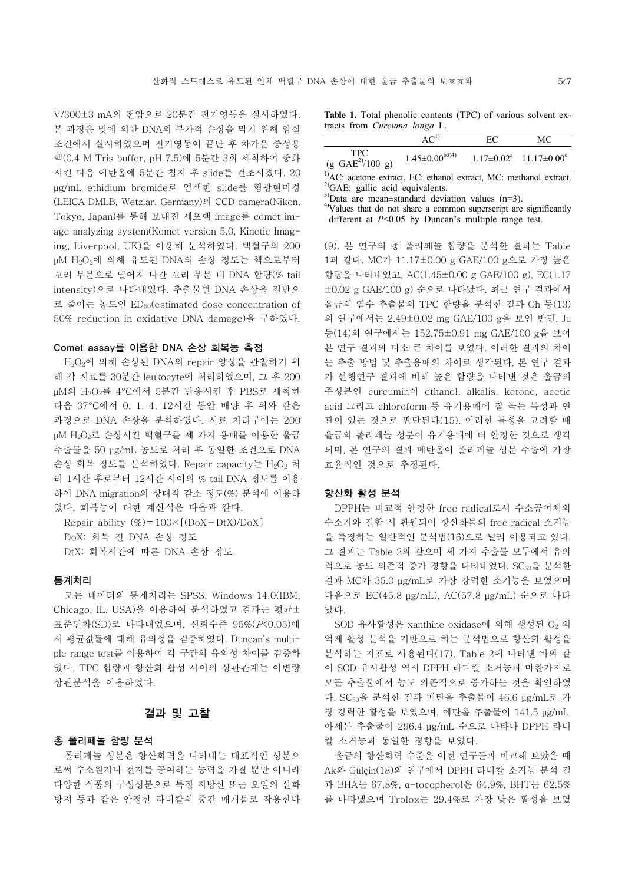V/300±3 mA의 전압으로 20분간 전기영동을 실시하였다. 본 과정은 빛에 의한 DNA의 부가적 손상을 막기 위해 암실 조건에서 실시하였으며 전기영동이 끝난 후 차가운 중성용 액(0.4 M Tris buffer, pH 7.5)에 5분간 3회 세척하여 중화 시킨 다음 에탄올에 5분간 침지 후 slide를 건조시켰다. 20 μg/mL ethidium bromide로 염색한 slide를 형광현미경 (LEICA DMLB, Wetzlar, Germany)의 CCD camera(Nikon, Tokyo, Japan)를 통해 보내진 세포핵 image를 comet image analyzing system(Komet version 5.0, Kinetic Imaging, Liverpool, UK)을 이용해 분석하였다. 백혈구의 200 μM H2O2에 의해 유도된 DNA의 손상 정도는 핵으로부터 꼬리 부분으로 떨어져 나간 꼬리 부분 내 DNA 함량(% tail intensity)으로 나타내었다. 추출물별 DNA 손상을 절반으 로 줄이는 농도인 ED50(estimated dose concentration of 50% reduction in oxidative DNA damage)을 구하였다.

#### Comet assay를 이용한 DNA 손상 회복능 측정

H2O2에 의해 손상된 DNA의 repair 양상을 관찰하기 위 해 각 시료를 30분간 leukocyte에 처리하였으며, 그 후 200 μM의 H2O2를 4°C에서 5분간 반응시킨 후 PBS로 세척한 다음 37°C에서 0, 1, 4, 12시간 동안 배양 후 위와 같은 과정으로 DNA 손상을 분석하였다. 시료 처리구에는 200 μM H2O2로 손상시킨 백혈구를 세 가지 용매를 이용한 울금 추출물을 50 μg/mL 농도로 처리 후 동일한 조건으로 DNA 손상 회복 정도를 분석하였다. Repair capacity는  $H_2O_2$  처 리 1시간 후로부터 12시간 사이의 % tail DNA 정도를 이용 하여 DNA migration의 상대적 감소 정도(%) 분석에 이용하 였다. 회복능에 대한 계산식은 다음과 같다.

Repair ability  $(\%)=100\times[(DoX-DtX)/DoX]$ DoX: 회복 전 DNA 손상 정도 DtX: 회복시간에 따른 DNA 손상 정도

#### 통계처리

모든 데이터의 통계처리는 SPSS, Windows 14.0(IBM, Chicago, IL, USA)을 이용하여 분석하였고 결과는 평균± 표준편차(SD)로 나타내었으며, 신뢰수준 95%(P<0.05)에 서 평균값들에 대해 유의성을 검증하였다. Duncan's multiple range test를 이용하여 각 구간의 유의성 차이를 검증하 였다. TPC 함량과 항산화 활성 사이의 상관관계는 이변량 상관분석을 이용하였다.

#### 결과 및 고찰

### 총 폴리페놀 함량 분석

폴리페놀 성분은 항산화력을 나타내는 대표적인 성분으 로써 수소원자나 전자를 공여하는 능력을 가질 뿐만 아니라 다양한 식품의 구성성분으로 특정 지방산 또는 오일의 산화 방지 등과 같은 안정한 라디칼의 중간 매개물로 작용한다

**Table 1.** Total phenolic contents (TPC) of various solvent extracts from *Curcuma longa* L.

|                                      | AC <sup>1</sup>         | EС | МC                               |
|--------------------------------------|-------------------------|----|----------------------------------|
| TPC.<br>$(g \text{ GAE}^{2)}/100 g)$ | $1.45 \pm 0.00^{b3(4)}$ |    | $1.17\pm0.02^a$ $11.17\pm0.00^c$ |

<sup>1)</sup>AC: acetone extract, EC: ethanol extract, MC: methanol extract. <sup>2)</sup>GAE: gallic acid equivalents.

 $3$ )Data are mean±standard deviation values (n=3).

<sup>4)</sup>Values that do not share a common superscript are significantly different at *P*<0.05 by Duncan's multiple range test.

(9). 본 연구의 총 폴리페놀 함량을 분석한 결과는 Table 1과 같다. MC가 11.17±0.00 g GAE/100 g으로 가장 높은 함량을 나타내었고, AC(1.45±0.00 g GAE/100 g), EC(1.17 ±0.02 g GAE/100 g) 순으로 나타났다. 최근 연구 결과에서 울금의 열수 추출물의 TPC 함량을 분석한 결과 Oh 등(13) 의 연구에서는 2.49±0.02 mg GAE/100 g을 보인 반면, Ju 등(14)의 연구에서는 152.75±0.91 mg GAE/100 g을 보여 본 연구 결과와 다소 큰 차이를 보였다. 이러한 결과의 차이 는 추출 방법 및 추출용매의 차이로 생각된다. 본 연구 결과 가 선행연구 결과에 비해 높은 함량을 나타낸 것은 울금의 주성분인 curcumin이 ethanol, alkalis, ketone, acetic acid 그리고 chloroform 등 유기용매에 잘 녹는 특성과 연 관이 있는 것으로 판단된다(15). 이러한 특성을 고려할 때 울금의 폴리페놀 성분이 유기용매에 더 안정한 것으로 생각 되며, 본 연구의 결과 메탄올이 폴리페놀 성분 추출에 가장 효율적인 것으로 추정된다.

#### 항산화 활성 분석

DPPH는 비교적 안정한 free radical로서 수소공여체의 수소기와 결합 시 환원되어 항산화물의 free radical 소거능 을 측정하는 일반적인 분석법(16)으로 널리 이용되고 있다. 그 결과는 Table 2와 같으며 세 가지 추출물 모두에서 유의 적으로 농도 의존적 증가 경향을 나타내었다. SC50을 분석한 결과 MC가 35.0 μg/mL로 가장 강력한 소거능을 보였으며 다음으로 EC(45.8 μg/mL), AC(57.8 μg/mL) 순으로 나타 났다.

SOD 유사활성은 xanthine oxidase에 의해 생성된 O2 의 억제 활성 분석을 기반으로 하는 분석법으로 항산화 활성을 분석하는 지표로 사용된다(17). Table 2에 나타낸 바와 같 이 SOD 유사활성 역시 DPPH 라디칼 소거능과 마찬가지로 모든 추출물에서 농도 의존적으로 증가하는 것을 확인하였 다. SC50을 분석한 결과 메탄올 추출물이 46.6 μg/mL로 가 장 강력한 활성을 보였으며, 에탄올 추출물이 141.5 μg/mL, 아세톤 추출물이 296.4 μg/mL 순으로 나타나 DPPH 라디 칼 소거능과 동일한 경향을 보였다.

울금의 항산화력 수준을 이전 연구들과 비교해 보았을 때 Ak와 Gülçin(18)의 연구에서 DPPH 라디칼 소거능 분석 결 과 BHA는 67.8%, α-tocopherol은 64.9%, BHT는 62.5% 를 나타냈으며 Trolox는 29.4%로 가장 낮은 활성을 보였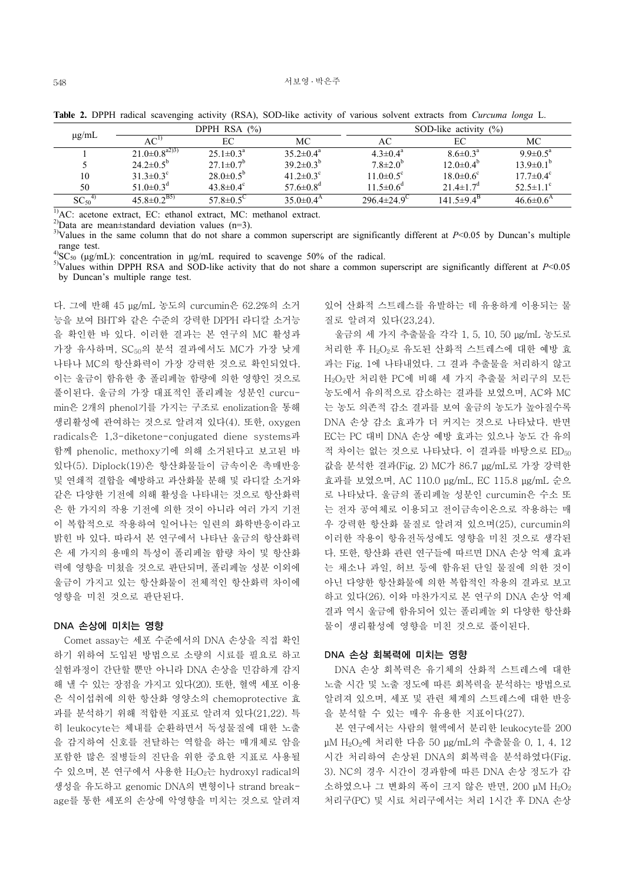| µg/mL                         |                             | DPPH RSA (%)            |                             |                               | SOD-like activity $(\%)$    |                             |  |
|-------------------------------|-----------------------------|-------------------------|-----------------------------|-------------------------------|-----------------------------|-----------------------------|--|
|                               | $AC^{\prime}$               | ЕC                      | МC                          | АC                            | EС                          | МC                          |  |
|                               | $21.0\pm0.8^{a2}$           | $25.1 \pm 0.3^{\circ}$  | $35.2 \pm 0.4^{\circ}$      | $4.3 \pm 0.4^{\circ}$         | $8.6 \pm 0.3^{\circ}$       | $9.9 \pm 0.5^{\text{a}}$    |  |
|                               | $24.2 \pm 0.5^{\circ}$      | $27.1 \pm 0.7^b$        | $39.2 \pm 0.3^{b}$          | $7.8 \pm 2.0^{\circ}$         | $12.0 \pm 0.4^{\circ}$      | $13.9\pm0.1^{b}$            |  |
| 10                            | $31.3 \pm 0.3^c$            | $28.0\pm0.5^{6}$        | 41.2 $\pm$ 0.3 <sup>c</sup> | $11.0 \pm 0.5$ <sup>c</sup>   | $18.0 \pm 0.6$ <sup>c</sup> | $17.7 \pm 0.4$ <sup>c</sup> |  |
| 50                            | 51.0 $\pm$ 0.3 <sup>d</sup> | 43.8 $\pm$ 0.4 $\rm{c}$ | 57.6 $\pm$ 0.8 <sup>d</sup> | $11.5 \pm 0.6^{\circ}$        | $21.4 \pm 1.7$ <sup>d</sup> | $52.5 \pm 1.1$ <sup>c</sup> |  |
| SC <sub>50</sub> <sup>4</sup> | $45.8 \pm 0.2^{B5}$         | 57.8 $\pm 0.5^{\circ}$  | $35.0\pm0.4$ <sup>A</sup>   | $296.4 \pm 24.9$ <sup>C</sup> | $141.5\pm9.4^{\rm B}$       | $46.6 \pm 0.6^{\rm A}$      |  |

**Table 2.** DPPH radical scavenging activity (RSA), SOD-like activity of various solvent extracts from *Curcuma longa* L.

<sup>1)</sup>AC: acetone extract, EC: ethanol extract, MC: methanol extract.

<sup>2)</sup>Data are mean±standard deviation values (n=3).

 $3$ Values in the same column that do not share a common superscript are significantly different at  $P < 0.05$  by Duncan's multiple range test.<br> $^{4}$ SC<sub>50</sub> ( $\mu$ g/mL): concentration in  $\mu$ g/mL required to scavenge 50% of the radical.

<sup>5)</sup>Values within DPPH RSA and SOD-like activity that do not share a common superscript are significantly different at *P*<0.05 by Duncan's multiple range test.

다. 그에 반해 45 μg/mL 농도의 curcumin은 62.2%의 소거 능을 보여 BHT와 같은 수준의 강력한 DPPH 라디칼 소거능 을 확인한 바 있다. 이러한 결과는 본 연구의 MC 활성과 가장 유사하며, SC<sub>50</sub>의 분석 결과에서도 MC가 가장 낮게 나타나 MC의 항산화력이 가장 강력한 것으로 확인되었다. 이는 울금이 함유한 총 폴리페놀 함량에 의한 영향인 것으로 풀이된다. 울금의 가장 대표적인 폴리페놀 성분인 curcumin은 2개의 phenol기를 가지는 구조로 enolization을 통해 생리활성에 관여하는 것으로 알려져 있다(4). 또한, oxygen radicals은 1,3-diketone-conjugated diene systems과 함께 phenolic, methoxy기에 의해 소거된다고 보고된 바 있다(5). Diplock(19)은 항산화물들이 금속이온 촉매반응 및 연쇄적 결합을 예방하고 과산화물 분해 및 라디칼 소거와 같은 다양한 기전에 의해 활성을 나타내는 것으로 항산화력 은 한 가지의 작용 기전에 의한 것이 아니라 여러 가지 기전 이 복합적으로 작용하여 일어나는 일련의 화학반응이라고 밝힌 바 있다. 따라서 본 연구에서 나타난 울금의 항산화력 은 세 가지의 용매의 특성이 폴리페놀 함량 차이 및 항산화 력에 영향을 미쳤을 것으로 판단되며, 폴리페놀 성분 이외에 울금이 가지고 있는 항산화물이 전체적인 항산화력 차이에 영향을 미친 것으로 판단된다.

### DNA 손상에 미치는 영향

Comet assay는 세포 수준에서의 DNA 손상을 직접 확인 하기 위하여 도입된 방법으로 소량의 시료를 필요로 하고 실험과정이 간단할 뿐만 아니라 DNA 손상을 민감하게 감지 해 낼 수 있는 장점을 가지고 있다(20). 또한, 혈액 세포 이용 은 식이섭취에 의한 항산화 영양소의 chemoprotective 효 과를 분석하기 위해 적합한 지표로 알려져 있다(21,22). 특 히 leukocyte는 체내를 순환하면서 독성물질에 대한 노출 을 감지하여 신호를 전달하는 역할을 하는 매개체로 암을 포함한 많은 질병들의 진단을 위한 중요한 지표로 사용될 수 있으며, 본 연구에서 사용한 H2O2는 hydroxyl radical의 생성을 유도하고 genomic DNA의 변형이나 strand breakage를 통한 세포의 손상에 악영향을 미치는 것으로 알려져

있어 산화적 스트레스를 유발하는 데 유용하게 이용되는 물 질로 알려져 있다(23,24).

울금의 세 가지 추출물을 각각 1, 5, 10, 50 μg/mL 농도로 처리한 후 H2O2로 유도된 산화적 스트레스에 대한 예방 효 과는 Fig. 1에 나타내었다. 그 결과 추출물을 처리하지 않고 H2O2만 처리한 PC에 비해 세 가지 추출물 처리구의 모든 농도에서 유의적으로 감소하는 결과를 보였으며, AC와 MC 는 농도 의존적 감소 결과를 보여 울금의 농도가 높아질수록 DNA 손상 감소 효과가 더 커지는 것으로 나타났다. 반면 EC는 PC 대비 DNA 손상 예방 효과는 있으나 농도 간 유의 적 차이는 없는 것으로 나타났다. 이 결과를 바탕으로 ED<sub>50</sub> 값을 분석한 결과(Fig. 2) MC가 86.7 μg/mL로 가장 강력한 효과를 보였으며, AC 110.0 μg/mL, EC 115.8 μg/mL 순으 로 나타났다. 울금의 폴리페놀 성분인 curcumin은 수소 또 는 전자 공여체로 이용되고 전이금속이온으로 작용하는 매 우 강력한 항산화 물질로 알려져 있으며(25), curcumin의 이러한 작용이 항유전독성에도 영향을 미친 것으로 생각된 다. 또한, 항산화 관련 연구들에 따르면 DNA 손상 억제 효과 는 채소나 과일, 허브 등에 함유된 단일 물질에 의한 것이 아닌 다양한 항산화물에 의한 복합적인 작용의 결과로 보고 하고 있다(26). 이와 마찬가지로 본 연구의 DNA 손상 억제 결과 역시 울금에 함유되어 있는 폴리페놀 외 다양한 항산화 물이 생리활성에 영향을 미친 것으로 풀이된다.

#### DNA 손상 회복력에 미치는 영향

DNA 손상 회복력은 유기체의 산화적 스트레스에 대한 노출 시간 및 노출 정도에 따른 회복력을 분석하는 방법으로 알려져 있으며, 세포 및 관련 체계의 스트레스에 대한 반응 을 분석할 수 있는 매우 유용한 지표이다(27).

본 연구에서는 사람의 혈액에서 분리한 leukocyte를 200 μM H2O2에 처리한 다음 50 μg/mL의 추출물을 0, 1, 4, 12 시간 처리하여 손상된 DNA의 회복력을 분석하였다(Fig. 3). NC의 경우 시간이 경과함에 따른 DNA 손상 정도가 감  $\triangle$ 하였으나 그 변화의 폭이 크지 않은 반면, 200 µM H<sub>2</sub>O<sub>2</sub> 처리구(PC) 및 시료 처리구에서는 처리 1시간 후 DNA 손상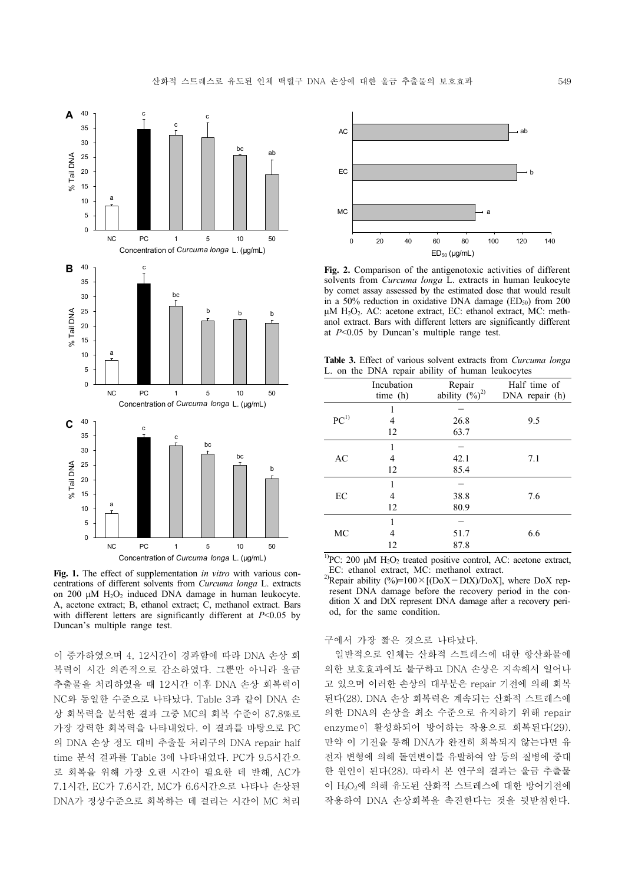

**Fig. 1.** The effect of supplementation *in vitro* with various concentrations of different solvents from *Curcuma longa* L. extracts on 200 μM H2O2 induced DNA damage in human leukocyte. A, acetone extract; B, ethanol extract; C, methanol extract. Bars with different letters are significantly different at *P*<0.05 by Duncan's multiple range test.

이 증가하였으며 4, 12시간이 경과함에 따라 DNA 손상 회 복력이 시간 의존적으로 감소하였다. 그뿐만 아니라 울금 추출물을 처리하였을 때 12시간 이후 DNA 손상 회복력이 NC와 동일한 수준으로 나타났다. Table 3과 같이 DNA 손 상 회복력을 분석한 결과 그중 MC의 회복 수준이 87.8%로 가장 강력한 회복력을 나타내었다. 이 결과를 바탕으로 PC 의 DNA 손상 정도 대비 추출물 처리구의 DNA repair half time 분석 결과를 Table 3에 나타내었다. PC가 9.5시간으 로 회복을 위해 가장 오랜 시간이 필요한 데 반해, AC가 7.1시간, EC가 7.6시간, MC가 6.6시간으로 나타나 손상된 DNA가 정상수준으로 회복하는 데 걸리는 시간이 MC 처리



**Fig. 2.** Comparison of the antigenotoxic activities of different solvents from *Curcuma longa* L. extracts in human leukocyte by comet assay assessed by the estimated dose that would result in a 50% reduction in oxidative DNA damage ( $ED_{50}$ ) from 200 μM  $H<sub>2</sub>O<sub>2</sub>$ . AC: acetone extract, EC: ethanol extract, MC: methanol extract. Bars with different letters are significantly different at *P*<0.05 by Duncan's multiple range test.

**Table 3.** Effect of various solvent extracts from *Curcuma longa* L. on the DNA repair ability of human leukocytes

| Incubation<br>Half time of<br>Repair<br>ability $(\%)^2$<br>time(h)<br>DNA repair (h)<br>$PC^{1)}$<br>26.8<br>9.5<br>4<br>63.7<br>12<br>1<br>AC<br>42.1<br>4<br>7.1<br>12<br>85.4<br>1<br>EC<br>38.8<br>7.6<br>4<br>12<br>80.9<br>1<br>6.6<br>MC<br>51.7<br>4<br>12<br>87.8 |  |  |  |
|-----------------------------------------------------------------------------------------------------------------------------------------------------------------------------------------------------------------------------------------------------------------------------|--|--|--|
|                                                                                                                                                                                                                                                                             |  |  |  |
|                                                                                                                                                                                                                                                                             |  |  |  |
|                                                                                                                                                                                                                                                                             |  |  |  |
|                                                                                                                                                                                                                                                                             |  |  |  |
|                                                                                                                                                                                                                                                                             |  |  |  |
|                                                                                                                                                                                                                                                                             |  |  |  |
|                                                                                                                                                                                                                                                                             |  |  |  |
|                                                                                                                                                                                                                                                                             |  |  |  |
|                                                                                                                                                                                                                                                                             |  |  |  |
|                                                                                                                                                                                                                                                                             |  |  |  |
|                                                                                                                                                                                                                                                                             |  |  |  |
|                                                                                                                                                                                                                                                                             |  |  |  |

<sup>1)</sup>PC: 200 μM  $H_2O_2$  treated positive control, AC: acetone extract, EC: ethanol extract, MC: methanol extract.

<sup>2)</sup>Repair ability (%)=100×[(DoX-DtX)/DoX], where DoX represent DNA damage before the recovery period in the condition X and DtX represent DNA damage after a recovery period, for the same condition.

#### 구에서 가장 짧은 것으로 나타났다.

일반적으로 인체는 산화적 스트레스에 대한 항산화물에 의한 보호효과에도 불구하고 DNA 손상은 지속해서 일어나 고 있으며 이러한 손상의 대부분은 repair 기전에 의해 회복 된다(28). DNA 손상 회복력은 계속되는 산화적 스트레스에 의한 DNA의 손상을 최소 수준으로 유지하기 위해 repair enzyme이 활성화되어 방어하는 작용으로 회복된다(29). 만약 이 기전을 통해 DNA가 완전히 회복되지 않는다면 유 전자 변형에 의해 돌연변이를 유발하여 암 등의 질병에 중대 한 원인이 된다(28). 따라서 본 연구의 결과는 울금 추출물 이 H2O2에 의해 유도된 산화적 스트레스에 대한 방어기전에 작용하여 DNA 손상회복을 촉진한다는 것을 뒷받침한다.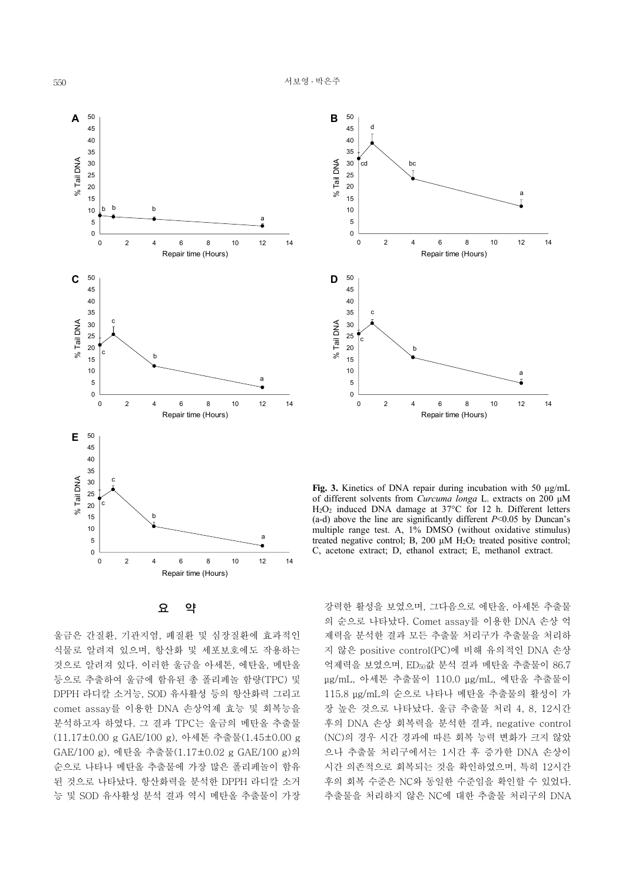

**B** 50 45 d 40 35 % Tail DNA % Tail DNA 30 cd bc 25 20 a 15 10 5 0 0 2 4 6 8 10 12 14 Repair time (Hours) **D** 50 45 40 35 c % Tail DNA % Tail DNA 30 25 c 20 b 15 10 a 5 0 0 2 4 6 8 10 12 14 Repair time (Hours)

**Fig. 3.** Kinetics of DNA repair during incubation with 50 μg/mL of different solvents from *Curcuma longa* L. extracts on 200 μM H2O2 induced DNA damage at 37°C for 12 h. Different letters (a-d) above the line are significantly different *P*<0.05 by Duncan's multiple range test. A, 1% DMSO (without oxidative stimulus) treated negative control; B, 200 μM  $\angle$ H<sub>2</sub>O<sub>2</sub> treated positive control; C, acetone extract; D, ethanol extract; E, methanol extract.

요 약

울금은 간질환, 기관지염, 폐질환 및 심장질환에 효과적인 식물로 알려져 있으며, 항산화 및 세포보호에도 작용하는 것으로 알려져 있다. 이러한 울금을 아세톤, 에탄올, 메탄올 등으로 추출하여 울금에 함유된 총 폴리페놀 함량(TPC) 및 DPPH 라디칼 소거능, SOD 유사활성 등의 항산화력 그리고 comet assay를 이용한 DNA 손상억제 효능 및 회복능을 분석하고자 하였다. 그 결과 TPC는 울금의 메탄올 추출물 (11.17±0.00 g GAE/100 g), 아세톤 추출물(1.45±0.00 g GAE/100 g), 에탄올 추출물(1.17±0.02 g GAE/100 g)의 순으로 나타나 메탄올 추출물에 가장 많은 폴리페놀이 함유 된 것으로 나타났다. 항산화력을 분석한 DPPH 라디칼 소거 능 및 SOD 유사활성 분석 결과 역시 메탄올 추출물이 가장

강력한 활성을 보였으며, 그다음으로 에탄올, 아세톤 추출물 의 순으로 나타났다. Comet assay를 이용한 DNA 손상 억 제력을 분석한 결과 모든 추출물 처리구가 추출물을 처리하 지 않은 positive control(PC)에 비해 유의적인 DNA 손상 억제력을 보였으며, ED50값 분석 결과 메탄올 추출물이 86.7 μg/mL, 아세톤 추출물이 110.0 μg/mL, 에탄올 추출물이 115.8 μg/mL의 순으로 나타나 메탄올 추출물의 활성이 가 장 높은 것으로 나타났다. 울금 추출물 처리 4, 8, 12시간 후의 DNA 손상 회복력을 분석한 결과, negative control (NC)의 경우 시간 경과에 따른 회복 능력 변화가 크지 않았 으나 추출물 처리구에서는 1시간 후 증가한 DNA 손상이 시간 의존적으로 회복되는 것을 확인하였으며, 특히 12시간 후의 회복 수준은 NC와 동일한 수준임을 확인할 수 있었다. 추출물을 처리하지 않은 NC에 대한 추출물 처리구의 DNA